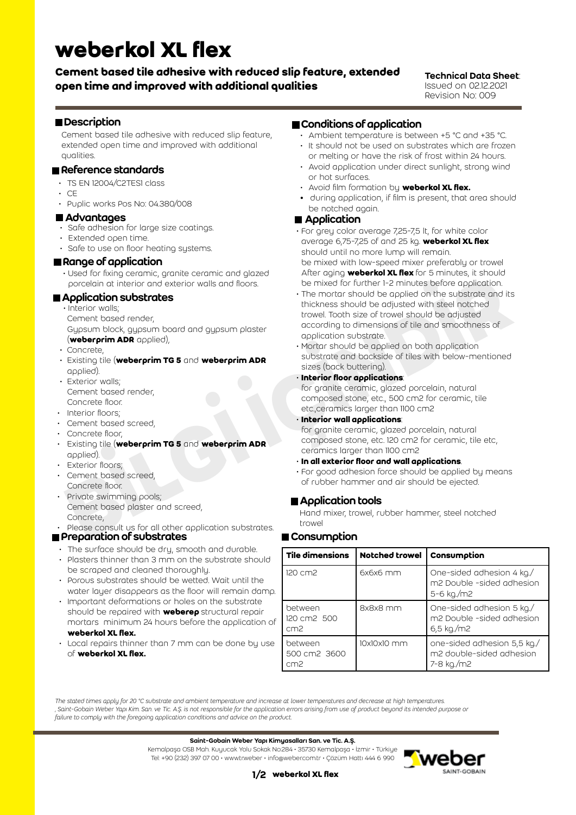# **weberkol XL flex**

# **Cement based tile adhesive with reduced slip feature, extended open time and improved with additional qualities**

#### Technical Data Sheet: Issued on 02.12.2021 Revision No: 009

## **Description**

Cement based tile adhesive with reduced slip feature, extended open time and improved with additional qualities.

#### Reference standards

- TS EN 12004/C2TES1 class
- CE
- Puplic works Pos No: 04.380/008

#### Advantages

- Safe adhesion for large size coatings.
- Extended open time.
- Safe to use on floor heating systems.

### Range of application

 • Used for fixing ceramic, granite ceramic and glazed porcelain at interior and exterior walls and floors.

# Application substrates

• Interior walls;

Cement based render,

 Gypsum block, gypsum board and gypsum plaster (**weberprim ADR** applied),

- Concrete,
- Existing tile (**weberprim TG 5** and **weberprim ADR**  applied).
- Exterior walls; Cement based render, Concrete floor.
- Interior floors;
- Cement based screed,
- Concrete floor,
- Existing tile (**weberprim TG 5** and **weberprim ADR** applied).
- Exterior floors:
- Cement based screed, Concrete floor.
- Private swimming pools; Cement based plaster and screed, Concrete,

• Please consult us for all other application substrates. **Preparation of substrates** 

- The surface should be dry, smooth and durable.
- Plasters thinner than 3 mm on the substrate should be scraped and cleaned thoroughly.
- Porous substrates should be wetted. Wait until the water layer disappears as the floor will remain damp.
- Important deformations or holes on the substrate should be repaired with **weberep** structural repair mortars minimum 24 hours before the application of **weberkol XL flex.**
- Local repairs thinner than 7 mm can be done by use of **weberkol XL flex.**

## Conditions of application

- Ambient temperature is between +5 °C and +35 °C.
- It should not be used on substrates which are frozen or melting or have the risk of frost within 24 hours.
- Avoid application under direct sunlight, strong wind or hot surfaces.
- Avoid film formation by **weberkol XL flex.**
- **•** during application, if film is present, that area should be notched again.

#### ■ Application

- For grey color average 7,25-7,5 lt, for white color average 6,75-7,25 of and 25 kg. **weberkol XL flex** should until no more lump will remain. be mixed with low-speed mixer preferably or trowel After aging **weberkol XL flex** for 5 minutes, it should be mixed for further 1-2 minutes before application.
- Controlling year and the term of the state of the term of the state of the state of the state of the state of the state of the state of the state of the state of the state of the state of the state of the state of the sta • The mortar should be applied on the substrate and its thickness should be adjusted with steel notched trowel. Tooth size of trowel should be adjusted according to dimensions of tile and smoothness of application substrate.
	- Mortar should be applied on both application substrate and backside of tiles with below-mentioned sizes (back buttering).
	- **Interior floor applications**:

 for granite ceramic, glazed porcelain, natural composed stone, etc., 500 cm2 for ceramic, tile etc.,ceramics larger than 1100 cm2

• **Interior wall applications**:

 for granite ceramic, glazed porcelain, natural composed stone, etc. 120 cm2 for ceramic, tile etc, ceramics larger than 1100 cm2

- **In all exterior floor and wall applications**.
- For good adhesion force should be applied by means of rubber hammer and air should be ejected.

# **Application tools**

Hand mixer, trowel, rubber hammer, steel notched trowel

# **■ Consumption**

| Tile dimensions                            | Notched trowel | Consumption                                                            |  |
|--------------------------------------------|----------------|------------------------------------------------------------------------|--|
| 120 cm2                                    | $6x6x6$ mm     | One-sided adhesion 4 kg./<br>m2 Double -sided adhesion<br>5-6 kg./m2   |  |
| between<br>120 cm2 500<br>cm <sup>2</sup>  | 8x8x8 mm       | One-sided adhesion 5 kg./<br>m2 Double -sided adhesion<br>$6,5$ kg./m2 |  |
| between<br>500 cm2 3600<br>cm <sub>2</sub> | 10x10x10 mm    | one-sided adhesion 5,5 kg./<br>m2 double-sided adhesion<br>7-8 kg./m2  |  |

*The stated times apply for 20 °C substrate and ambient temperature and increase at lower temperatures and decrease at high temperatures. ' Saint-Gobain Weber Yapı Kim. San. ve Tic. A.Ş. is not responsible for the application errors arising from use of product beyond its intended purpose or failure to comply with the foregoing application conditions and advice on the product.*

#### Saint-Gobain Weber Yapı Kimyasalları San. ve Tic. A.Ş.

Kemalpaşa OSB Mah. Kuyucak Yolu Sokak No:284 • 35730 Kemalpaşa • İzmir • Türkiye Tel: +90 (232) 397 07 00 • www.tr.weber • info@weber.com.tr • Çözüm Hattı 444 6 990



### 1/2 **weberkol XL flex**